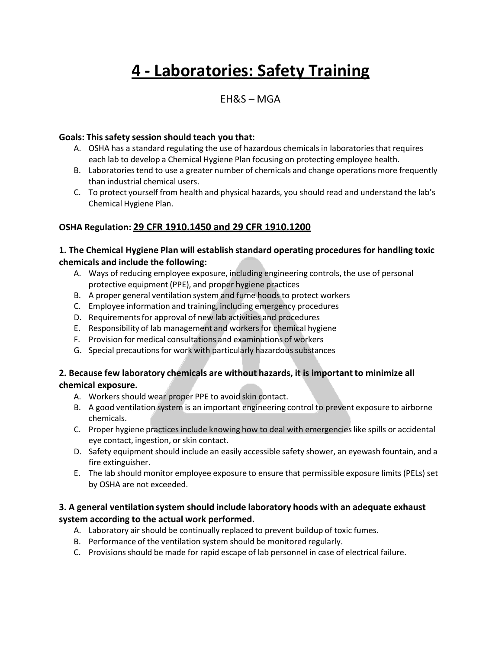# **4 - Laboratories: Safety Training**

### $EH&S-MGA$

#### **Goals: This safety session should teach you that:**

- A. OSHA has a standard regulating the use of hazardous chemicals in laboratories that requires each lab to develop a Chemical Hygiene Plan focusing on protecting employee health.
- B. Laboratories tend to use a greater number of chemicals and change operations more frequently than industrial chemical users.
- C. To protect yourself from health and physical hazards, you should read and understand the lab's Chemical Hygiene Plan.

#### **OSHA Regulation: 29 CFR 1910.1450 and 29 CFR 1910.1200**

#### **1. The Chemical Hygiene Plan will establish standard operating procedures for handling toxic chemicals and include the following:**

- A. Ways of reducing employee exposure, including engineering controls, the use of personal protective equipment (PPE), and proper hygiene practices
- B. A proper general ventilation system and fume hoods to protect workers
- C. Employee information and training, including emergency procedures
- D. Requirements for approval of new lab activities and procedures
- E. Responsibility of lab management and workersfor chemical hygiene
- F. Provision for medical consultations and examinations of workers
- G. Special precautions for work with particularly hazardous substances

#### **2. Because few laboratory chemicals are without hazards, it is importantto minimize all chemical exposure.**

- A. Workers should wear proper PPE to avoid skin contact.
- B. A good ventilation system is an important engineering control to prevent exposure to airborne chemicals.
- C. Proper hygiene practices include knowing how to deal with emergencieslike spills or accidental eye contact, ingestion, or skin contact.
- D. Safety equipment should include an easily accessible safety shower, an eyewash fountain, and a fire extinguisher.
- E. The lab should monitor employee exposure to ensure that permissible exposure limits (PELs) set by OSHA are not exceeded.

#### **3. A general ventilation system should include laboratory hoods with an adequate exhaust system according to the actual work performed.**

- A. Laboratory air should be continually replaced to prevent buildup of toxic fumes.
- B. Performance of the ventilation system should be monitored regularly.
- C. Provisions should be made for rapid escape of lab personnel in case of electrical failure.